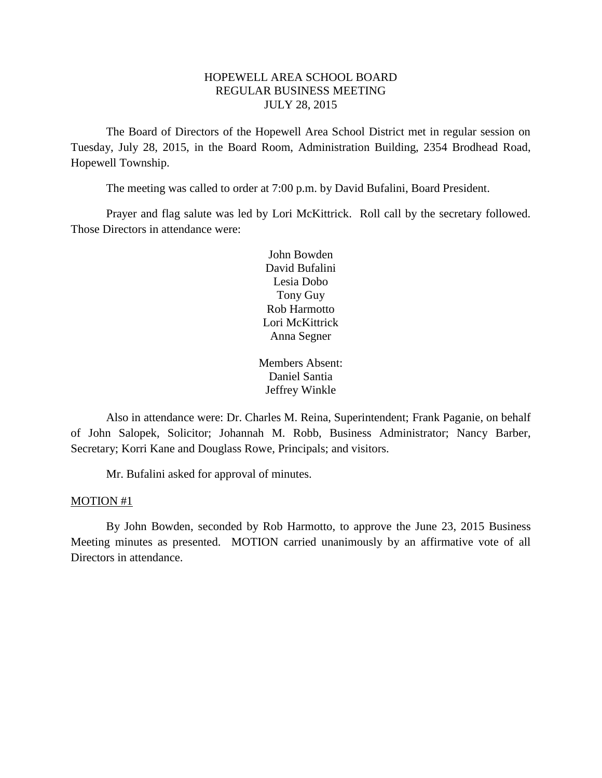## HOPEWELL AREA SCHOOL BOARD REGULAR BUSINESS MEETING JULY 28, 2015

The Board of Directors of the Hopewell Area School District met in regular session on Tuesday, July 28, 2015, in the Board Room, Administration Building, 2354 Brodhead Road, Hopewell Township.

The meeting was called to order at 7:00 p.m. by David Bufalini, Board President.

Prayer and flag salute was led by Lori McKittrick. Roll call by the secretary followed. Those Directors in attendance were:

> John Bowden David Bufalini Lesia Dobo Tony Guy Rob Harmotto Lori McKittrick Anna Segner

Members Absent: Daniel Santia Jeffrey Winkle

Also in attendance were: Dr. Charles M. Reina, Superintendent; Frank Paganie, on behalf of John Salopek, Solicitor; Johannah M. Robb, Business Administrator; Nancy Barber, Secretary; Korri Kane and Douglass Rowe, Principals; and visitors.

Mr. Bufalini asked for approval of minutes.

### MOTION #1

By John Bowden, seconded by Rob Harmotto, to approve the June 23, 2015 Business Meeting minutes as presented. MOTION carried unanimously by an affirmative vote of all Directors in attendance.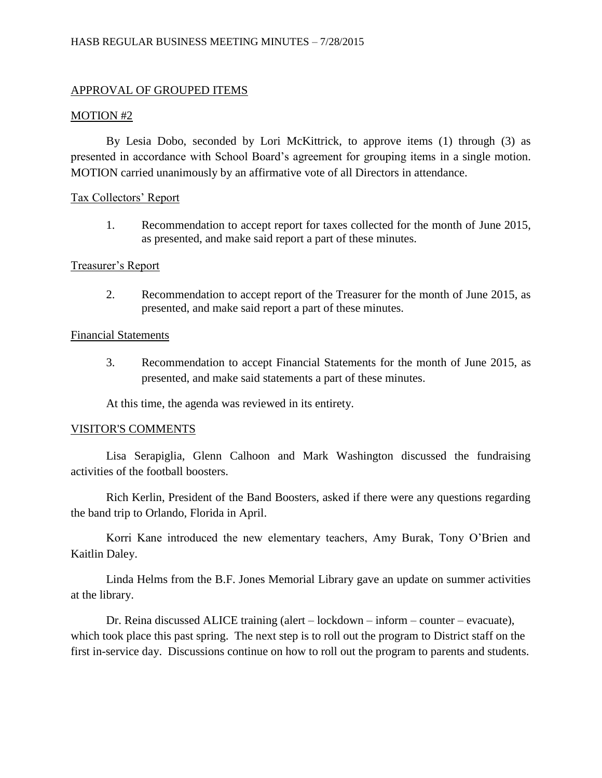### MOTION #2

By Lesia Dobo, seconded by Lori McKittrick, to approve items (1) through (3) as presented in accordance with School Board's agreement for grouping items in a single motion. MOTION carried unanimously by an affirmative vote of all Directors in attendance.

## Tax Collectors' Report

1. Recommendation to accept report for taxes collected for the month of June 2015, as presented, and make said report a part of these minutes.

### Treasurer's Report

2. Recommendation to accept report of the Treasurer for the month of June 2015, as presented, and make said report a part of these minutes.

### Financial Statements

3. Recommendation to accept Financial Statements for the month of June 2015, as presented, and make said statements a part of these minutes.

At this time, the agenda was reviewed in its entirety.

## VISITOR'S COMMENTS

Lisa Serapiglia, Glenn Calhoon and Mark Washington discussed the fundraising activities of the football boosters.

Rich Kerlin, President of the Band Boosters, asked if there were any questions regarding the band trip to Orlando, Florida in April.

Korri Kane introduced the new elementary teachers, Amy Burak, Tony O'Brien and Kaitlin Daley.

Linda Helms from the B.F. Jones Memorial Library gave an update on summer activities at the library.

Dr. Reina discussed ALICE training (alert – lockdown – inform – counter – evacuate), which took place this past spring. The next step is to roll out the program to District staff on the first in-service day. Discussions continue on how to roll out the program to parents and students.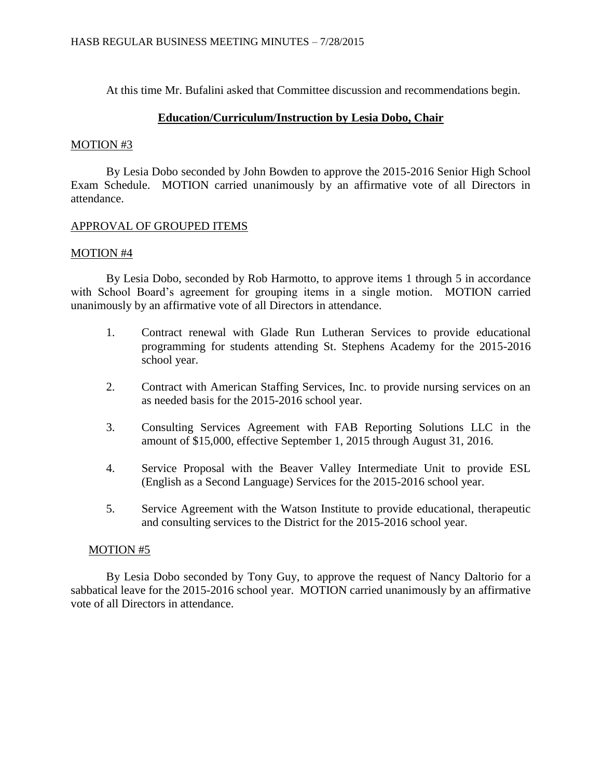At this time Mr. Bufalini asked that Committee discussion and recommendations begin.

### **Education/Curriculum/Instruction by Lesia Dobo, Chair**

### MOTION #3

By Lesia Dobo seconded by John Bowden to approve the 2015-2016 Senior High School Exam Schedule. MOTION carried unanimously by an affirmative vote of all Directors in attendance.

### APPROVAL OF GROUPED ITEMS

### MOTION #4

By Lesia Dobo, seconded by Rob Harmotto, to approve items 1 through 5 in accordance with School Board's agreement for grouping items in a single motion. MOTION carried unanimously by an affirmative vote of all Directors in attendance.

- 1. Contract renewal with Glade Run Lutheran Services to provide educational programming for students attending St. Stephens Academy for the 2015-2016 school year.
- 2. Contract with American Staffing Services, Inc. to provide nursing services on an as needed basis for the 2015-2016 school year.
- 3. Consulting Services Agreement with FAB Reporting Solutions LLC in the amount of \$15,000, effective September 1, 2015 through August 31, 2016.
- 4. Service Proposal with the Beaver Valley Intermediate Unit to provide ESL (English as a Second Language) Services for the 2015-2016 school year.
- 5. Service Agreement with the Watson Institute to provide educational, therapeutic and consulting services to the District for the 2015-2016 school year.

### MOTION #5

By Lesia Dobo seconded by Tony Guy, to approve the request of Nancy Daltorio for a sabbatical leave for the 2015-2016 school year. MOTION carried unanimously by an affirmative vote of all Directors in attendance.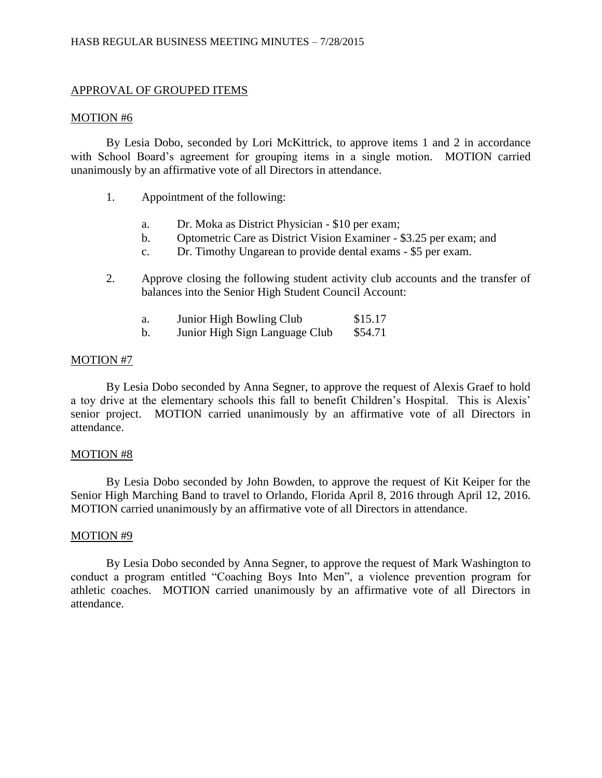### MOTION #6

By Lesia Dobo, seconded by Lori McKittrick, to approve items 1 and 2 in accordance with School Board's agreement for grouping items in a single motion. MOTION carried unanimously by an affirmative vote of all Directors in attendance.

- 1. Appointment of the following:
	- a. Dr. Moka as District Physician \$10 per exam;
	- b. Optometric Care as District Vision Examiner \$3.25 per exam; and
	- c. Dr. Timothy Ungarean to provide dental exams \$5 per exam.
- 2. Approve closing the following student activity club accounts and the transfer of balances into the Senior High Student Council Account:
	- a. Junior High Bowling Club \$15.17
	- b. Junior High Sign Language Club \$54.71

## MOTION #7

By Lesia Dobo seconded by Anna Segner, to approve the request of Alexis Graef to hold a toy drive at the elementary schools this fall to benefit Children's Hospital. This is Alexis' senior project. MOTION carried unanimously by an affirmative vote of all Directors in attendance.

## MOTION #8

By Lesia Dobo seconded by John Bowden, to approve the request of Kit Keiper for the Senior High Marching Band to travel to Orlando, Florida April 8, 2016 through April 12, 2016. MOTION carried unanimously by an affirmative vote of all Directors in attendance.

### MOTION #9

By Lesia Dobo seconded by Anna Segner, to approve the request of Mark Washington to conduct a program entitled "Coaching Boys Into Men", a violence prevention program for athletic coaches. MOTION carried unanimously by an affirmative vote of all Directors in attendance.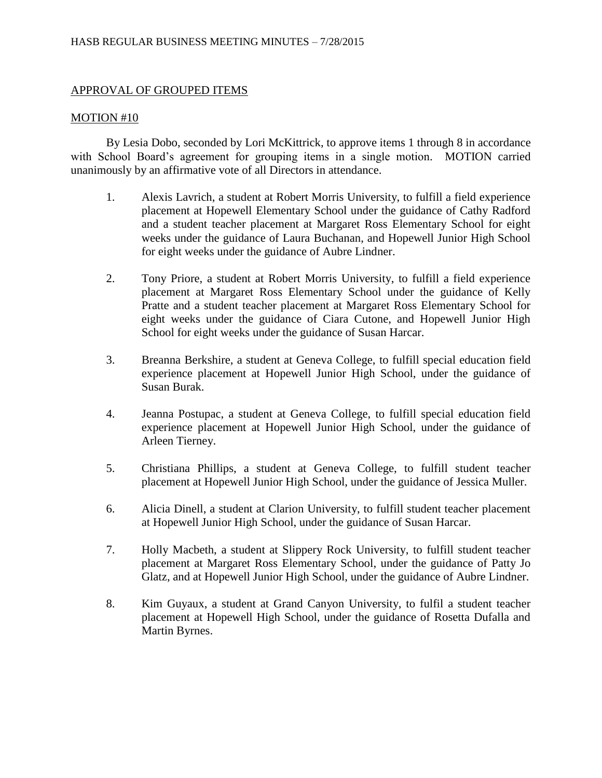### MOTION #10

By Lesia Dobo, seconded by Lori McKittrick, to approve items 1 through 8 in accordance with School Board's agreement for grouping items in a single motion. MOTION carried unanimously by an affirmative vote of all Directors in attendance.

- 1. Alexis Lavrich, a student at Robert Morris University, to fulfill a field experience placement at Hopewell Elementary School under the guidance of Cathy Radford and a student teacher placement at Margaret Ross Elementary School for eight weeks under the guidance of Laura Buchanan, and Hopewell Junior High School for eight weeks under the guidance of Aubre Lindner.
- 2. Tony Priore, a student at Robert Morris University, to fulfill a field experience placement at Margaret Ross Elementary School under the guidance of Kelly Pratte and a student teacher placement at Margaret Ross Elementary School for eight weeks under the guidance of Ciara Cutone, and Hopewell Junior High School for eight weeks under the guidance of Susan Harcar.
- 3. Breanna Berkshire, a student at Geneva College, to fulfill special education field experience placement at Hopewell Junior High School, under the guidance of Susan Burak.
- 4. Jeanna Postupac, a student at Geneva College, to fulfill special education field experience placement at Hopewell Junior High School, under the guidance of Arleen Tierney.
- 5. Christiana Phillips, a student at Geneva College, to fulfill student teacher placement at Hopewell Junior High School, under the guidance of Jessica Muller.
- 6. Alicia Dinell, a student at Clarion University, to fulfill student teacher placement at Hopewell Junior High School, under the guidance of Susan Harcar.
- 7. Holly Macbeth, a student at Slippery Rock University, to fulfill student teacher placement at Margaret Ross Elementary School, under the guidance of Patty Jo Glatz, and at Hopewell Junior High School, under the guidance of Aubre Lindner.
- 8. Kim Guyaux, a student at Grand Canyon University, to fulfil a student teacher placement at Hopewell High School, under the guidance of Rosetta Dufalla and Martin Byrnes.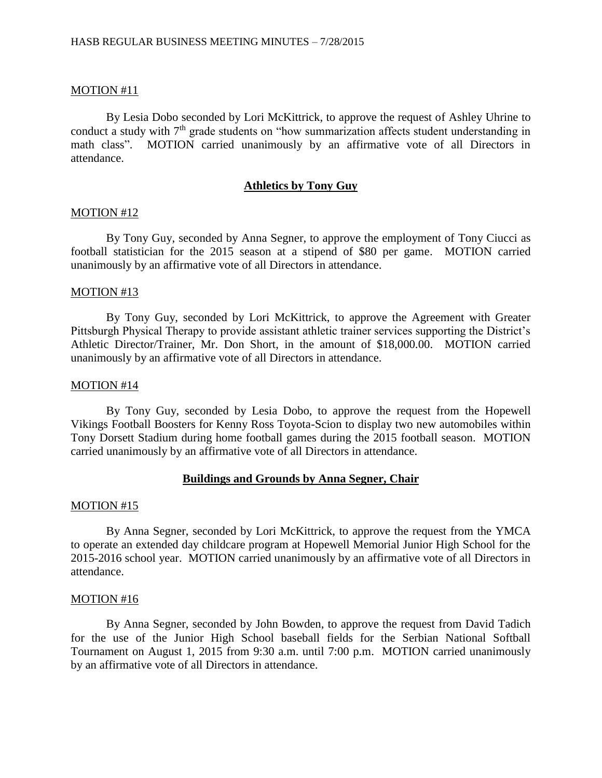### MOTION #11

By Lesia Dobo seconded by Lori McKittrick, to approve the request of Ashley Uhrine to conduct a study with  $7<sup>th</sup>$  grade students on "how summarization affects student understanding in math class". MOTION carried unanimously by an affirmative vote of all Directors in attendance.

### **Athletics by Tony Guy**

#### MOTION #12

By Tony Guy, seconded by Anna Segner, to approve the employment of Tony Ciucci as football statistician for the 2015 season at a stipend of \$80 per game. MOTION carried unanimously by an affirmative vote of all Directors in attendance.

#### MOTION #13

By Tony Guy, seconded by Lori McKittrick, to approve the Agreement with Greater Pittsburgh Physical Therapy to provide assistant athletic trainer services supporting the District's Athletic Director/Trainer, Mr. Don Short, in the amount of \$18,000.00. MOTION carried unanimously by an affirmative vote of all Directors in attendance.

#### MOTION #14

By Tony Guy, seconded by Lesia Dobo, to approve the request from the Hopewell Vikings Football Boosters for Kenny Ross Toyota-Scion to display two new automobiles within Tony Dorsett Stadium during home football games during the 2015 football season. MOTION carried unanimously by an affirmative vote of all Directors in attendance.

### **Buildings and Grounds by Anna Segner, Chair**

#### MOTION #15

By Anna Segner, seconded by Lori McKittrick, to approve the request from the YMCA to operate an extended day childcare program at Hopewell Memorial Junior High School for the 2015-2016 school year. MOTION carried unanimously by an affirmative vote of all Directors in attendance.

#### MOTION #16

By Anna Segner, seconded by John Bowden, to approve the request from David Tadich for the use of the Junior High School baseball fields for the Serbian National Softball Tournament on August 1, 2015 from 9:30 a.m. until 7:00 p.m. MOTION carried unanimously by an affirmative vote of all Directors in attendance.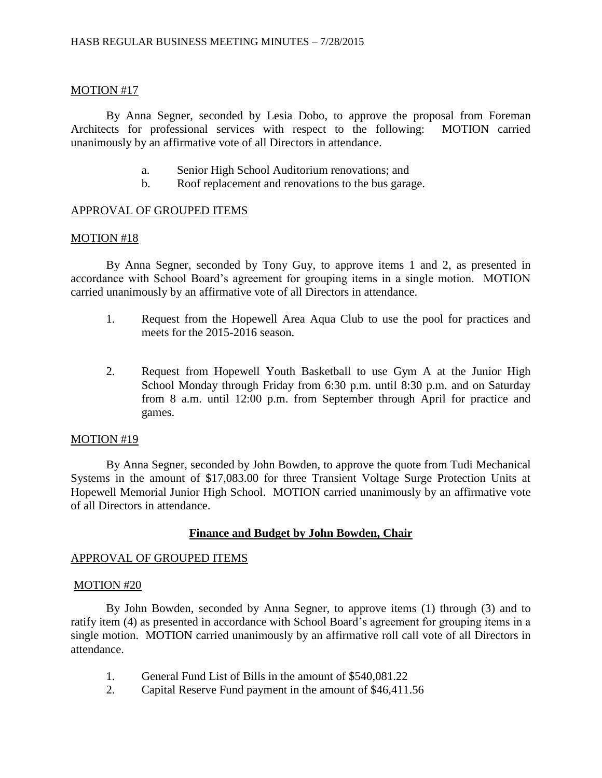## MOTION #17

By Anna Segner, seconded by Lesia Dobo, to approve the proposal from Foreman Architects for professional services with respect to the following: MOTION carried unanimously by an affirmative vote of all Directors in attendance.

- a. Senior High School Auditorium renovations; and
- b. Roof replacement and renovations to the bus garage.

## APPROVAL OF GROUPED ITEMS

### MOTION #18

By Anna Segner, seconded by Tony Guy, to approve items 1 and 2, as presented in accordance with School Board's agreement for grouping items in a single motion. MOTION carried unanimously by an affirmative vote of all Directors in attendance.

- 1. Request from the Hopewell Area Aqua Club to use the pool for practices and meets for the 2015-2016 season.
- 2. Request from Hopewell Youth Basketball to use Gym A at the Junior High School Monday through Friday from 6:30 p.m. until 8:30 p.m. and on Saturday from 8 a.m. until 12:00 p.m. from September through April for practice and games.

### MOTION #19

By Anna Segner, seconded by John Bowden, to approve the quote from Tudi Mechanical Systems in the amount of \$17,083.00 for three Transient Voltage Surge Protection Units at Hopewell Memorial Junior High School. MOTION carried unanimously by an affirmative vote of all Directors in attendance.

## **Finance and Budget by John Bowden, Chair**

## APPROVAL OF GROUPED ITEMS

### MOTION #20

By John Bowden, seconded by Anna Segner, to approve items (1) through (3) and to ratify item (4) as presented in accordance with School Board's agreement for grouping items in a single motion. MOTION carried unanimously by an affirmative roll call vote of all Directors in attendance.

- 1. General Fund List of Bills in the amount of \$540,081.22
- 2. Capital Reserve Fund payment in the amount of \$46,411.56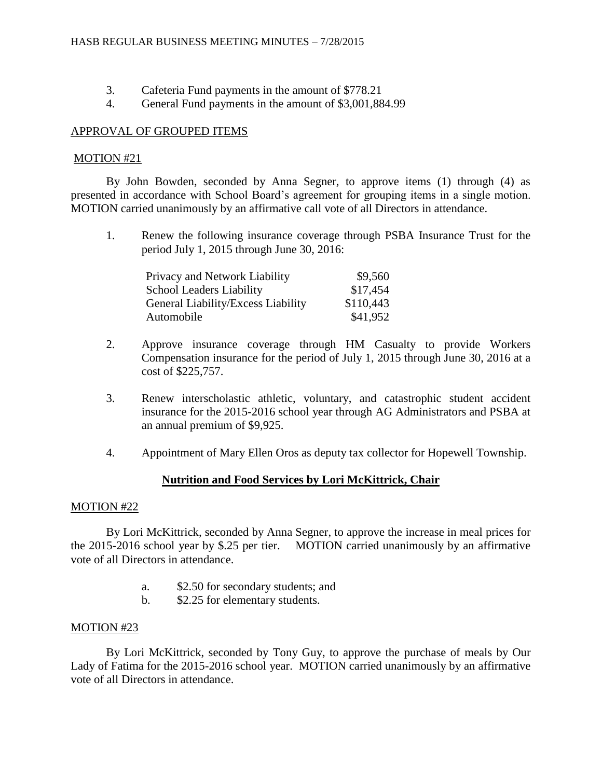- 3. Cafeteria Fund payments in the amount of \$778.21
- 4. General Fund payments in the amount of \$3,001,884.99

### MOTION #21

By John Bowden, seconded by Anna Segner, to approve items (1) through (4) as presented in accordance with School Board's agreement for grouping items in a single motion. MOTION carried unanimously by an affirmative call vote of all Directors in attendance.

1. Renew the following insurance coverage through PSBA Insurance Trust for the period July 1, 2015 through June 30, 2016:

| Privacy and Network Liability      | \$9,560   |
|------------------------------------|-----------|
| <b>School Leaders Liability</b>    | \$17,454  |
| General Liability/Excess Liability | \$110,443 |
| Automobile                         | \$41,952  |

- 2. Approve insurance coverage through HM Casualty to provide Workers Compensation insurance for the period of July 1, 2015 through June 30, 2016 at a cost of \$225,757.
- 3. Renew interscholastic athletic, voluntary, and catastrophic student accident insurance for the 2015-2016 school year through AG Administrators and PSBA at an annual premium of \$9,925.
- 4. Appointment of Mary Ellen Oros as deputy tax collector for Hopewell Township.

# **Nutrition and Food Services by Lori McKittrick, Chair**

### MOTION #22

By Lori McKittrick, seconded by Anna Segner, to approve the increase in meal prices for the 2015-2016 school year by \$.25 per tier. MOTION carried unanimously by an affirmative vote of all Directors in attendance.

- a. \$2.50 for secondary students; and
- b. \$2.25 for elementary students.

## MOTION #23

By Lori McKittrick, seconded by Tony Guy, to approve the purchase of meals by Our Lady of Fatima for the 2015-2016 school year. MOTION carried unanimously by an affirmative vote of all Directors in attendance.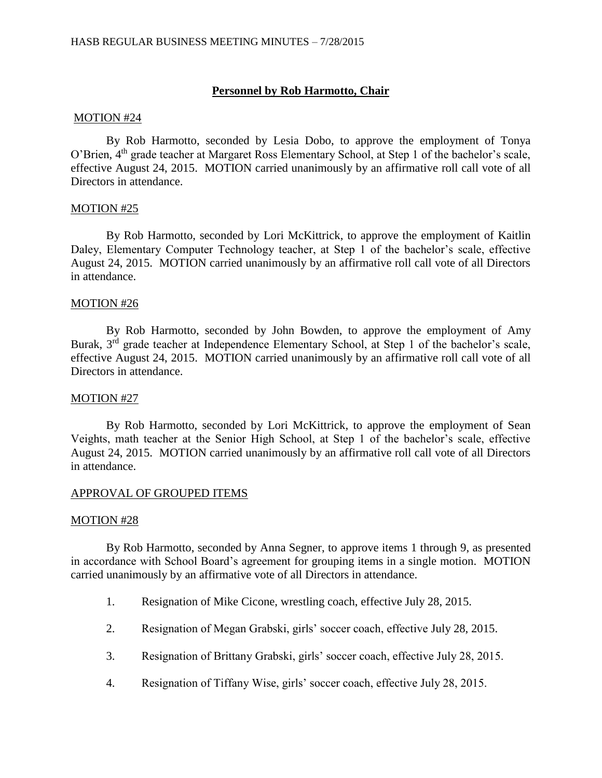## **Personnel by Rob Harmotto, Chair**

#### MOTION #24

By Rob Harmotto, seconded by Lesia Dobo, to approve the employment of Tonya O'Brien, 4th grade teacher at Margaret Ross Elementary School, at Step 1 of the bachelor's scale, effective August 24, 2015. MOTION carried unanimously by an affirmative roll call vote of all Directors in attendance.

### MOTION #25

By Rob Harmotto, seconded by Lori McKittrick, to approve the employment of Kaitlin Daley, Elementary Computer Technology teacher, at Step 1 of the bachelor's scale, effective August 24, 2015. MOTION carried unanimously by an affirmative roll call vote of all Directors in attendance.

### MOTION #26

By Rob Harmotto, seconded by John Bowden, to approve the employment of Amy Burak, 3<sup>rd</sup> grade teacher at Independence Elementary School, at Step 1 of the bachelor's scale, effective August 24, 2015. MOTION carried unanimously by an affirmative roll call vote of all Directors in attendance.

### MOTION #27

By Rob Harmotto, seconded by Lori McKittrick, to approve the employment of Sean Veights, math teacher at the Senior High School, at Step 1 of the bachelor's scale, effective August 24, 2015. MOTION carried unanimously by an affirmative roll call vote of all Directors in attendance.

### APPROVAL OF GROUPED ITEMS

### MOTION #28

By Rob Harmotto, seconded by Anna Segner, to approve items 1 through 9, as presented in accordance with School Board's agreement for grouping items in a single motion. MOTION carried unanimously by an affirmative vote of all Directors in attendance.

- 1. Resignation of Mike Cicone, wrestling coach, effective July 28, 2015.
- 2. Resignation of Megan Grabski, girls' soccer coach, effective July 28, 2015.
- 3. Resignation of Brittany Grabski, girls' soccer coach, effective July 28, 2015.
- 4. Resignation of Tiffany Wise, girls' soccer coach, effective July 28, 2015.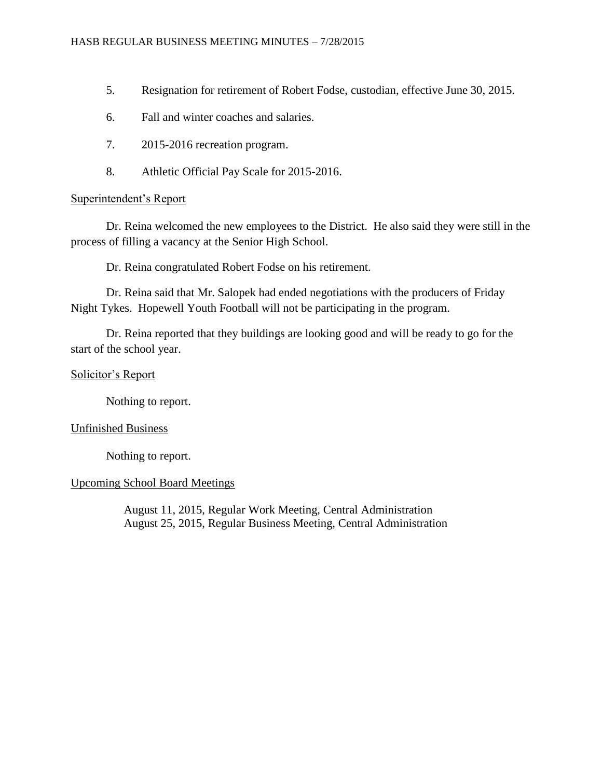- 5. Resignation for retirement of Robert Fodse, custodian, effective June 30, 2015.
- 6. Fall and winter coaches and salaries.
- 7. 2015-2016 recreation program.
- 8. Athletic Official Pay Scale for 2015-2016.

## Superintendent's Report

Dr. Reina welcomed the new employees to the District. He also said they were still in the process of filling a vacancy at the Senior High School.

Dr. Reina congratulated Robert Fodse on his retirement.

Dr. Reina said that Mr. Salopek had ended negotiations with the producers of Friday Night Tykes. Hopewell Youth Football will not be participating in the program.

Dr. Reina reported that they buildings are looking good and will be ready to go for the start of the school year.

## Solicitor's Report

Nothing to report.

## Unfinished Business

Nothing to report.

# Upcoming School Board Meetings

August 11, 2015, Regular Work Meeting, Central Administration August 25, 2015, Regular Business Meeting, Central Administration